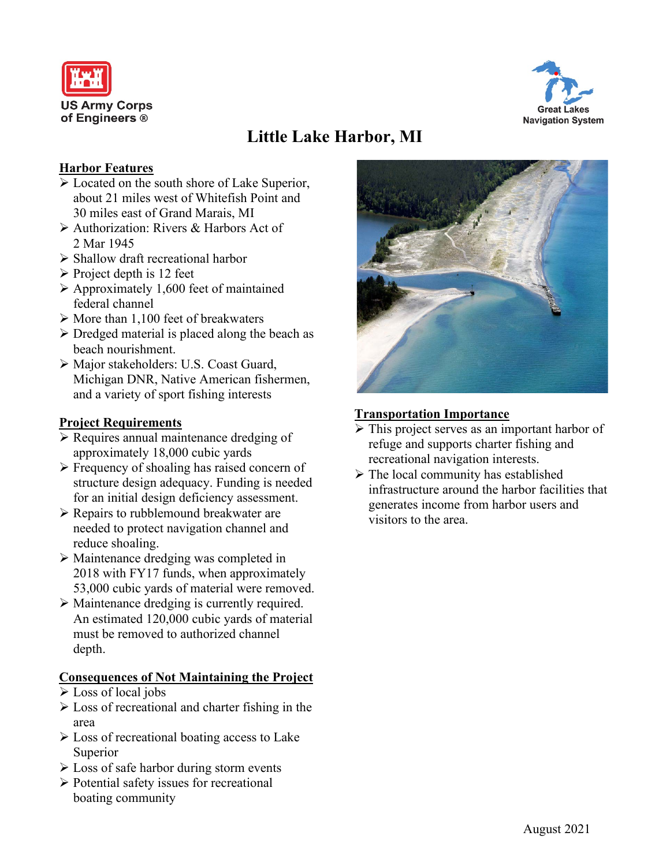



# **Little Lake Harbor, MI**

### **Harbor Features**

- Located on the south shore of Lake Superior, about 21 miles west of Whitefish Point and 30 miles east of Grand Marais, MI
- Authorization: Rivers & Harbors Act of 2 Mar 1945
- $\triangleright$  Shallow draft recreational harbor
- $\triangleright$  Project depth is 12 feet
- $\triangleright$  Approximately 1,600 feet of maintained federal channel
- $\triangleright$  More than 1,100 feet of breakwaters
- $\triangleright$  Dredged material is placed along the beach as beach nourishment.
- Major stakeholders: U.S. Coast Guard, Michigan DNR, Native American fishermen, and a variety of sport fishing interests

## **Project Requirements**

- $\triangleright$  Requires annual maintenance dredging of approximately 18,000 cubic yards
- $\triangleright$  Frequency of shoaling has raised concern of structure design adequacy. Funding is needed for an initial design deficiency assessment.
- $\triangleright$  Repairs to rubblemound breakwater are needed to protect navigation channel and reduce shoaling.
- Maintenance dredging was completed in 2018 with FY17 funds, when approximately 53,000 cubic yards of material were removed.
- Maintenance dredging is currently required. An estimated 120,000 cubic yards of material must be removed to authorized channel depth.

### **Consequences of Not Maintaining the Project**

- Loss of local jobs
- $\triangleright$  Loss of recreational and charter fishing in the area
- $\triangleright$  Loss of recreational boating access to Lake Superior
- $\triangleright$  Loss of safe harbor during storm events
- $\triangleright$  Potential safety issues for recreational boating community



## **Transportation Importance**

- It This project serves as an important harbor of refuge and supports charter fishing and recreational navigation interests.
- $\triangleright$  The local community has established infrastructure around the harbor facilities that generates income from harbor users and visitors to the area.